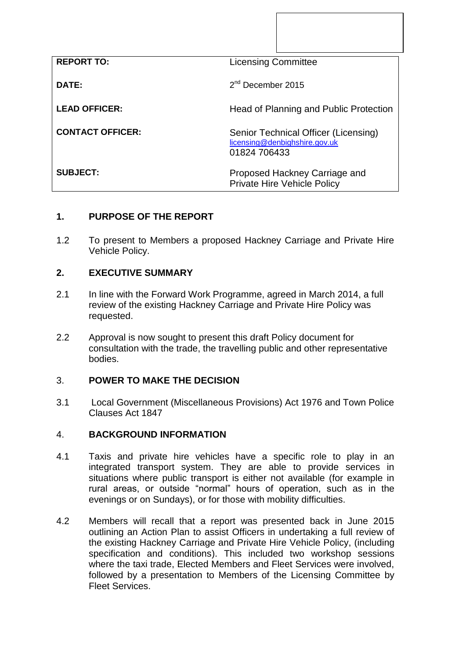| <b>REPORT TO:</b>       | <b>Licensing Committee</b>                                                            |
|-------------------------|---------------------------------------------------------------------------------------|
| DATE:                   | $2nd$ December 2015                                                                   |
| <b>LEAD OFFICER:</b>    | Head of Planning and Public Protection                                                |
| <b>CONTACT OFFICER:</b> | Senior Technical Officer (Licensing)<br>licensing@denbighshire.gov.uk<br>01824 706433 |
| <b>SUBJECT:</b>         | Proposed Hackney Carriage and<br><b>Private Hire Vehicle Policy</b>                   |

# **1. PURPOSE OF THE REPORT**

1.2 To present to Members a proposed Hackney Carriage and Private Hire Vehicle Policy.

## **2. EXECUTIVE SUMMARY**

- 2.1 In line with the Forward Work Programme, agreed in March 2014, a full review of the existing Hackney Carriage and Private Hire Policy was requested.
- 2.2 Approval is now sought to present this draft Policy document for consultation with the trade, the travelling public and other representative bodies.

#### 3. **POWER TO MAKE THE DECISION**

3.1 Local Government (Miscellaneous Provisions) Act 1976 and Town Police Clauses Act 1847

#### 4. **BACKGROUND INFORMATION**

- 4.1 Taxis and private hire vehicles have a specific role to play in an integrated transport system. They are able to provide services in situations where public transport is either not available (for example in rural areas, or outside "normal" hours of operation, such as in the evenings or on Sundays), or for those with mobility difficulties.
- 4.2 Members will recall that a report was presented back in June 2015 outlining an Action Plan to assist Officers in undertaking a full review of the existing Hackney Carriage and Private Hire Vehicle Policy, (including specification and conditions). This included two workshop sessions where the taxi trade, Elected Members and Fleet Services were involved, followed by a presentation to Members of the Licensing Committee by Fleet Services.